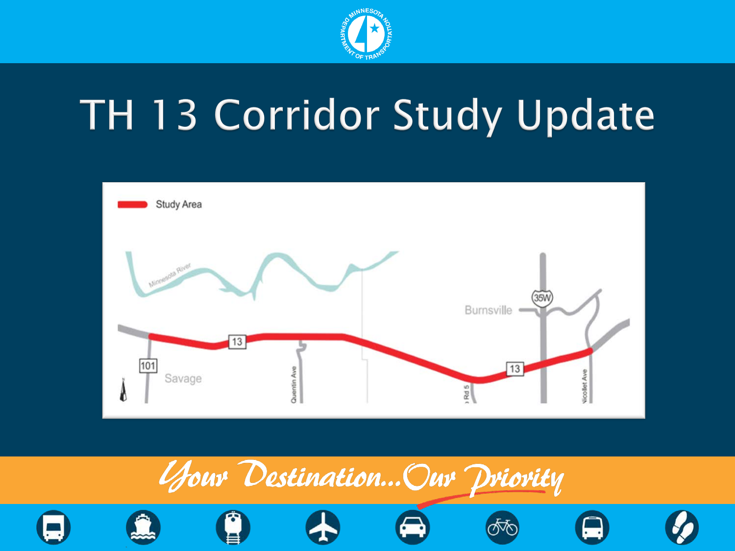

# TH 13 Corridor Study Update



















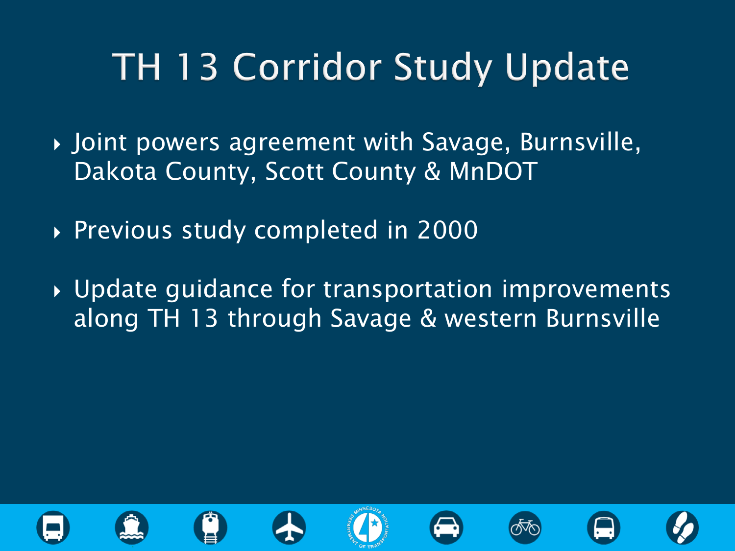### **TH 13 Corridor Study Update**

- Joint powers agreement with Savage, Burnsville, Dakota County, Scott County & MnDOT
- Previous study completed in 2000
- Update guidance for transportation improvements along TH 13 through Savage & western Burnsville

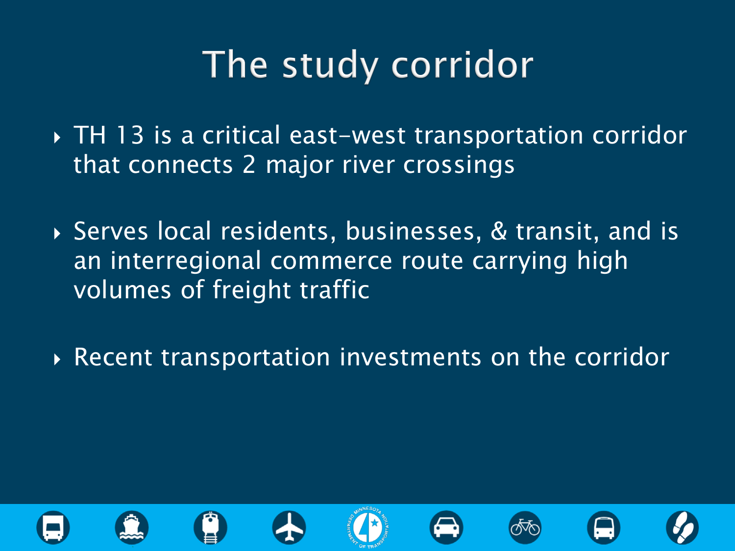### The study corridor

- TH 13 is a critical east-west transportation corridor that connects 2 major river crossings
- Serves local residents, businesses, & transit, and is an interregional commerce route carrying high volumes of freight traffic
- ▶ Recent transportation investments on the corridor

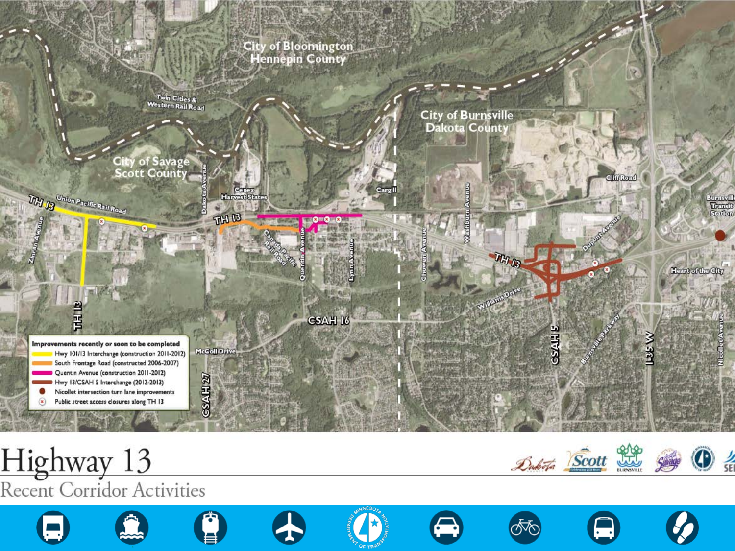

















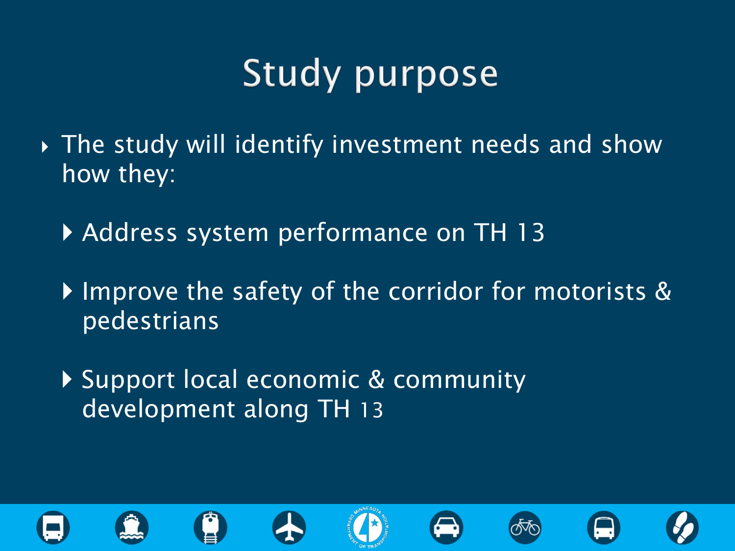## **Study purpose**

- The study will identify investment needs and show how they:
	- Address system performance on TH 13
	- Improve the safety of the corridor for motorists & pedestrians
	- Support local economic & community development along TH 13

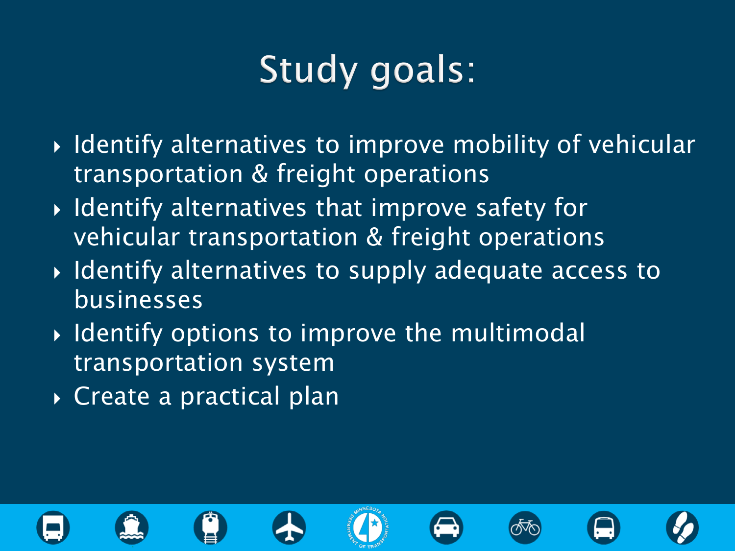## Study goals:

- $\rightarrow$  Identify alternatives to improve mobility of vehicular transportation & freight operations
- $\rightarrow$  Identify alternatives that improve safety for vehicular transportation & freight operations
- **I** Identify alternatives to supply adequate access to businesses
- $\rightarrow$  Identify options to improve the multimodal transportation system
- ▶ Create a practical plan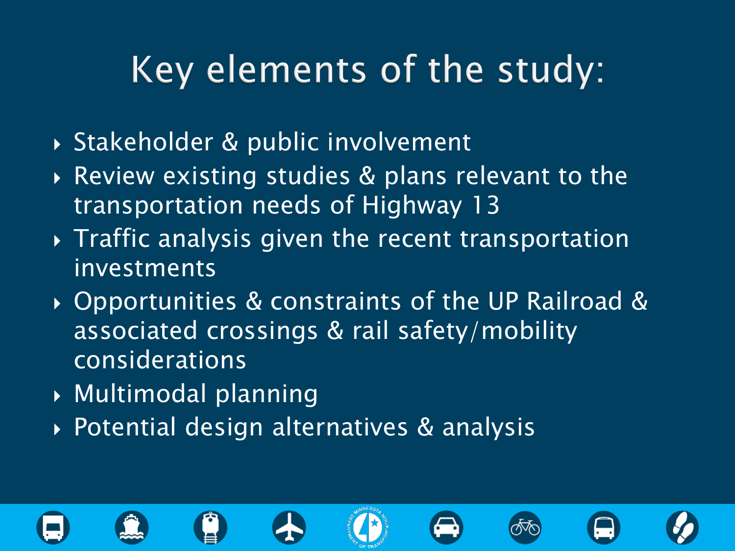#### Key elements of the study:

- Stakeholder & public involvement
- Review existing studies & plans relevant to the transportation needs of Highway 13
- $\rightarrow$  Traffic analysis given the recent transportation investments
- Opportunities & constraints of the UP Railroad & associated crossings & rail safety/mobility considerations
- Multimodal planning
- ▶ Potential design alternatives & analysis

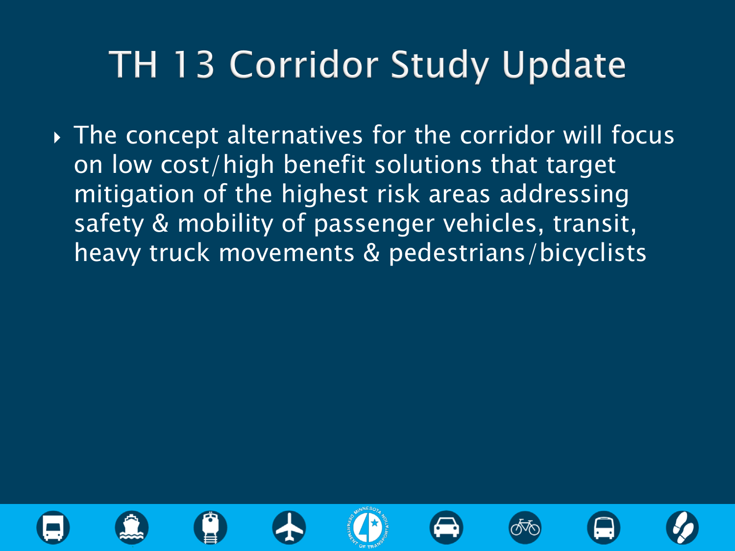### **TH 13 Corridor Study Update**

 The concept alternatives for the corridor will focus on low cost/high benefit solutions that target mitigation of the highest risk areas addressing safety & mobility of passenger vehicles, transit, heavy truck movements & pedestrians/bicyclists

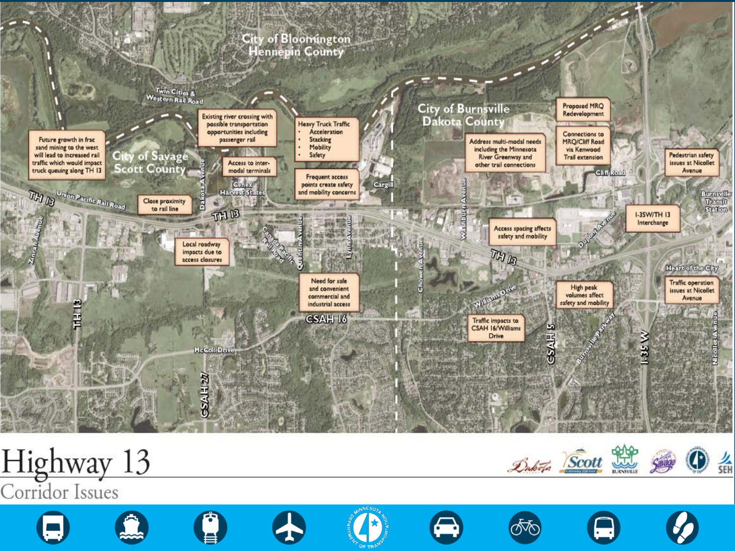